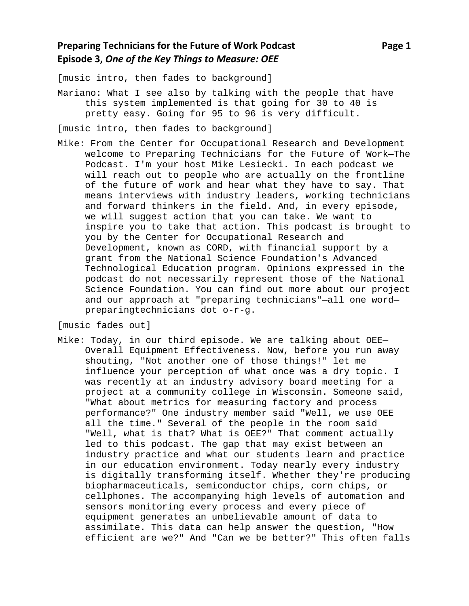[music intro, then fades to background]

Mariano: What I see also by talking with the people that have this system implemented is that going for 30 to 40 is pretty easy. Going for 95 to 96 is very difficult.

[music intro, then fades to background]

Mike: From the Center for Occupational Research and Development welcome to Preparing Technicians for the Future of Work—The Podcast. I'm your host Mike Lesiecki. In each podcast we will reach out to people who are actually on the frontline of the future of work and hear what they have to say. That means interviews with industry leaders, working technicians and forward thinkers in the field. And, in every episode, we will suggest action that you can take. We want to inspire you to take that action. This podcast is brought to you by the Center for Occupational Research and Development, known as CORD, with financial support by a grant from the National Science Foundation's Advanced Technological Education program. Opinions expressed in the podcast do not necessarily represent those of the National Science Foundation. You can find out more about our project and our approach at "preparing technicians"—all one word preparingtechnicians dot o-r-g.

[music fades out]

Mike: Today, in our third episode. We are talking about OEE— Overall Equipment Effectiveness. Now, before you run away shouting, "Not another one of those things!" let me influence your perception of what once was a dry topic. I was recently at an industry advisory board meeting for a project at a community college in Wisconsin. Someone said, "What about metrics for measuring factory and process performance?" One industry member said "Well, we use OEE all the time." Several of the people in the room said "Well, what is that? What is OEE?" That comment actually led to this podcast. The gap that may exist between an industry practice and what our students learn and practice in our education environment. Today nearly every industry is digitally transforming itself. Whether they're producing biopharmaceuticals, semiconductor chips, corn chips, or cellphones. The accompanying high levels of automation and sensors monitoring every process and every piece of equipment generates an unbelievable amount of data to assimilate. This data can help answer the question, "How efficient are we?" And "Can we be better?" This often falls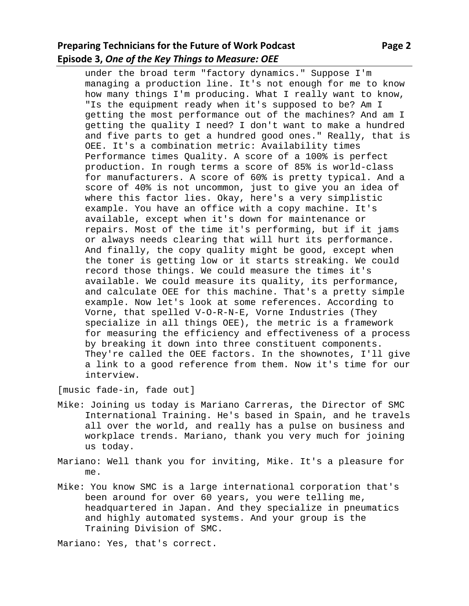## **Preparing Technicians for the Future of Work Podcast Page 2 Page 2 Episode 3,** *One of the Key Things to Measure: OEE*

under the broad term "factory dynamics." Suppose I'm managing a production line. It's not enough for me to know how many things I'm producing. What I really want to know, "Is the equipment ready when it's supposed to be? Am I getting the most performance out of the machines? And am I getting the quality I need? I don't want to make a hundred and five parts to get a hundred good ones." Really, that is OEE. It's a combination metric: Availability times Performance times Quality. A score of a 100% is perfect production. In rough terms a score of 85% is world-class for manufacturers. A score of 60% is pretty typical. And a score of 40% is not uncommon, just to give you an idea of where this factor lies. Okay, here's a very simplistic example. You have an office with a copy machine. It's available, except when it's down for maintenance or repairs. Most of the time it's performing, but if it jams or always needs clearing that will hurt its performance. And finally, the copy quality might be good, except when the toner is getting low or it starts streaking. We could record those things. We could measure the times it's available. We could measure its quality, its performance, and calculate OEE for this machine. That's a pretty simple example. Now let's look at some references. According to Vorne, that spelled V-O-R-N-E, Vorne Industries (They specialize in all things OEE), the metric is a framework for measuring the efficiency and effectiveness of a process by breaking it down into three constituent components. They're called the OEE factors. In the shownotes, I'll give a link to a good reference from them. Now it's time for our interview.

[music fade-in, fade out]

- Mike: Joining us today is Mariano Carreras, the Director of SMC International Training. He's based in Spain, and he travels all over the world, and really has a pulse on business and workplace trends. Mariano, thank you very much for joining us today.
- Mariano: Well thank you for inviting, Mike. It's a pleasure for me.
- Mike: You know SMC is a large international corporation that's been around for over 60 years, you were telling me, headquartered in Japan. And they specialize in pneumatics and highly automated systems. And your group is the Training Division of SMC.

Mariano: Yes, that's correct.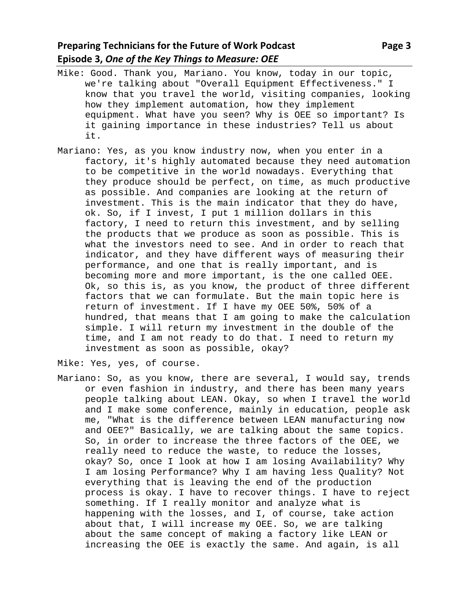- Mike: Good. Thank you, Mariano. You know, today in our topic, we're talking about "Overall Equipment Effectiveness." I know that you travel the world, visiting companies, looking how they implement automation, how they implement equipment. What have you seen? Why is OEE so important? Is it gaining importance in these industries? Tell us about it.
- Mariano: Yes, as you know industry now, when you enter in a factory, it's highly automated because they need automation to be competitive in the world nowadays. Everything that they produce should be perfect, on time, as much productive as possible. And companies are looking at the return of investment. This is the main indicator that they do have, ok. So, if I invest, I put 1 million dollars in this factory, I need to return this investment, and by selling the products that we produce as soon as possible. This is what the investors need to see. And in order to reach that indicator, and they have different ways of measuring their performance, and one that is really important, and is becoming more and more important, is the one called OEE. Ok, so this is, as you know, the product of three different factors that we can formulate. But the main topic here is return of investment. If I have my OEE 50%, 50% of a hundred, that means that I am going to make the calculation simple. I will return my investment in the double of the time, and I am not ready to do that. I need to return my investment as soon as possible, okay?

Mike: Yes, yes, of course.

Mariano: So, as you know, there are several, I would say, trends or even fashion in industry, and there has been many years people talking about LEAN. Okay, so when I travel the world and I make some conference, mainly in education, people ask me, "What is the difference between LEAN manufacturing now and OEE?" Basically, we are talking about the same topics. So, in order to increase the three factors of the OEE, we really need to reduce the waste, to reduce the losses, okay? So, once I look at how I am losing Availability? Why I am losing Performance? Why I am having less Quality? Not everything that is leaving the end of the production process is okay. I have to recover things. I have to reject something. If I really monitor and analyze what is happening with the losses, and I, of course, take action about that, I will increase my OEE. So, we are talking about the same concept of making a factory like LEAN or increasing the OEE is exactly the same. And again, is all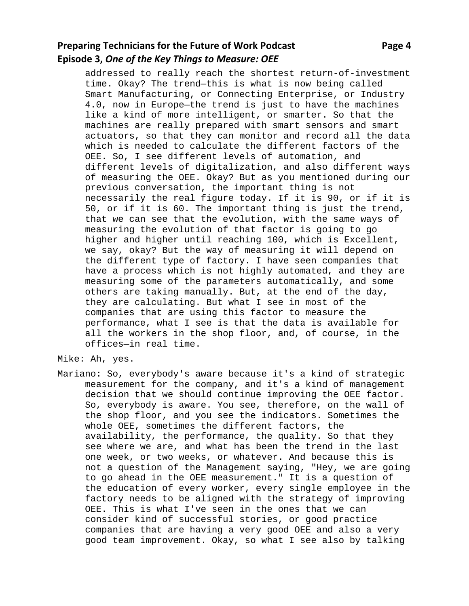## **Preparing Technicians for the Future of Work Podcast Page 4 Approximate Page 4 Episode 3,** *One of the Key Things to Measure: OEE*

addressed to really reach the shortest return-of-investment time. Okay? The trend—this is what is now being called Smart Manufacturing, or Connecting Enterprise, or Industry 4.0, now in Europe—the trend is just to have the machines like a kind of more intelligent, or smarter. So that the machines are really prepared with smart sensors and smart actuators, so that they can monitor and record all the data which is needed to calculate the different factors of the OEE. So, I see different levels of automation, and different levels of digitalization, and also different ways of measuring the OEE. Okay? But as you mentioned during our previous conversation, the important thing is not necessarily the real figure today. If it is 90, or if it is 50, or if it is 60. The important thing is just the trend, that we can see that the evolution, with the same ways of measuring the evolution of that factor is going to go higher and higher until reaching 100, which is Excellent, we say, okay? But the way of measuring it will depend on the different type of factory. I have seen companies that have a process which is not highly automated, and they are measuring some of the parameters automatically, and some others are taking manually. But, at the end of the day, they are calculating. But what I see in most of the companies that are using this factor to measure the performance, what I see is that the data is available for all the workers in the shop floor, and, of course, in the

Mike: Ah, yes.

offices—in real time.

Mariano: So, everybody's aware because it's a kind of strategic measurement for the company, and it's a kind of management decision that we should continue improving the OEE factor. So, everybody is aware. You see, therefore, on the wall of the shop floor, and you see the indicators. Sometimes the whole OEE, sometimes the different factors, the availability, the performance, the quality. So that they see where we are, and what has been the trend in the last one week, or two weeks, or whatever. And because this is not a question of the Management saying, "Hey, we are going to go ahead in the OEE measurement." It is a question of the education of every worker, every single employee in the factory needs to be aligned with the strategy of improving OEE. This is what I've seen in the ones that we can consider kind of successful stories, or good practice companies that are having a very good OEE and also a very good team improvement. Okay, so what I see also by talking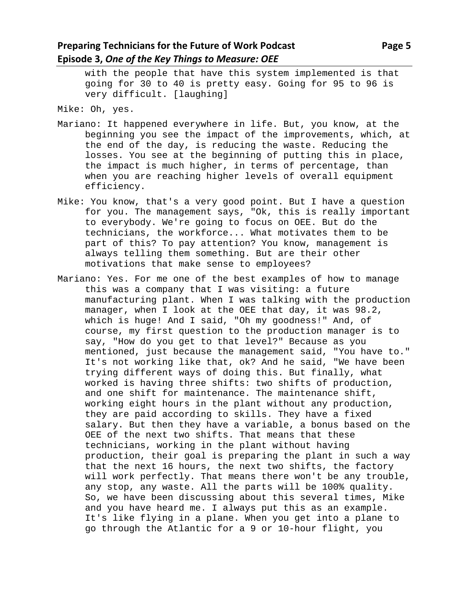with the people that have this system implemented is that going for 30 to 40 is pretty easy. Going for 95 to 96 is very difficult. [laughing]

Mike: Oh, yes.

- Mariano: It happened everywhere in life. But, you know, at the beginning you see the impact of the improvements, which, at the end of the day, is reducing the waste. Reducing the losses. You see at the beginning of putting this in place, the impact is much higher, in terms of percentage, than when you are reaching higher levels of overall equipment efficiency.
- Mike: You know, that's a very good point. But I have a question for you. The management says, "Ok, this is really important to everybody. We're going to focus on OEE. But do the technicians, the workforce... What motivates them to be part of this? To pay attention? You know, management is always telling them something. But are their other motivations that make sense to employees?
- Mariano: Yes. For me one of the best examples of how to manage this was a company that I was visiting: a future manufacturing plant. When I was talking with the production manager, when I look at the OEE that day, it was 98.2, which is huge! And I said, "Oh my goodness!" And, of course, my first question to the production manager is to say, "How do you get to that level?" Because as you mentioned, just because the management said, "You have to." It's not working like that, ok? And he said, "We have been trying different ways of doing this. But finally, what worked is having three shifts: two shifts of production, and one shift for maintenance. The maintenance shift, working eight hours in the plant without any production, they are paid according to skills. They have a fixed salary. But then they have a variable, a bonus based on the OEE of the next two shifts. That means that these technicians, working in the plant without having production, their goal is preparing the plant in such a way that the next 16 hours, the next two shifts, the factory will work perfectly. That means there won't be any trouble, any stop, any waste. All the parts will be 100% quality. So, we have been discussing about this several times, Mike and you have heard me. I always put this as an example. It's like flying in a plane. When you get into a plane to go through the Atlantic for a 9 or 10-hour flight, you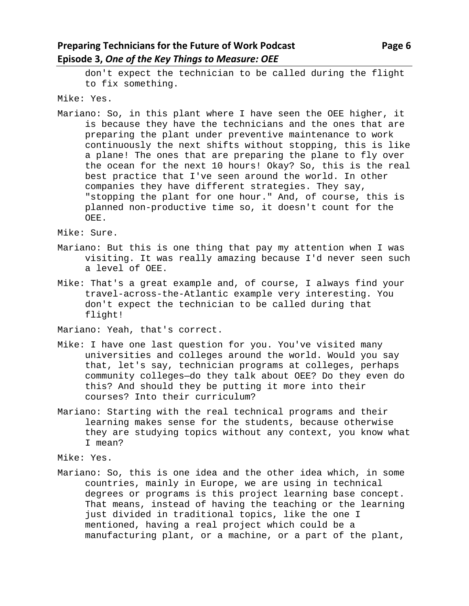don't expect the technician to be called during the flight to fix something.

Mike: Yes.

Mariano: So, in this plant where I have seen the OEE higher, it is because they have the technicians and the ones that are preparing the plant under preventive maintenance to work continuously the next shifts without stopping, this is like a plane! The ones that are preparing the plane to fly over the ocean for the next 10 hours! Okay? So, this is the real best practice that I've seen around the world. In other companies they have different strategies. They say, "stopping the plant for one hour." And, of course, this is planned non-productive time so, it doesn't count for the OEE.

Mike: Sure.

- Mariano: But this is one thing that pay my attention when I was visiting. It was really amazing because I'd never seen such a level of OEE.
- Mike: That's a great example and, of course, I always find your travel-across-the-Atlantic example very interesting. You don't expect the technician to be called during that flight!

Mariano: Yeah, that's correct.

- Mike: I have one last question for you. You've visited many universities and colleges around the world. Would you say that, let's say, technician programs at colleges, perhaps community colleges—do they talk about OEE? Do they even do this? And should they be putting it more into their courses? Into their curriculum?
- Mariano: Starting with the real technical programs and their learning makes sense for the students, because otherwise they are studying topics without any context, you know what I mean?

Mike: Yes.

Mariano: So, this is one idea and the other idea which, in some countries, mainly in Europe, we are using in technical degrees or programs is this project learning base concept. That means, instead of having the teaching or the learning just divided in traditional topics, like the one I mentioned, having a real project which could be a manufacturing plant, or a machine, or a part of the plant,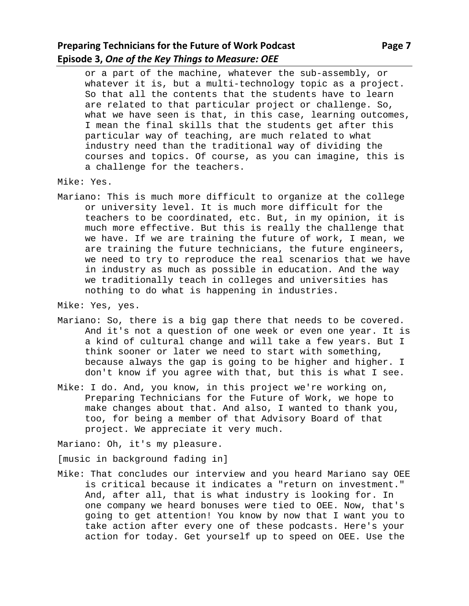## **Preparing Technicians for the Future of Work Podcast Page 7 Page 7 Episode 3,** *One of the Key Things to Measure: OEE*

or a part of the machine, whatever the sub-assembly, or whatever it is, but a multi-technology topic as a project. So that all the contents that the students have to learn are related to that particular project or challenge. So, what we have seen is that, in this case, learning outcomes, I mean the final skills that the students get after this particular way of teaching, are much related to what industry need than the traditional way of dividing the courses and topics. Of course, as you can imagine, this is a challenge for the teachers.

- Mike: Yes.
- Mariano: This is much more difficult to organize at the college or university level. It is much more difficult for the teachers to be coordinated, etc. But, in my opinion, it is much more effective. But this is really the challenge that we have. If we are training the future of work, I mean, we are training the future technicians, the future engineers, we need to try to reproduce the real scenarios that we have in industry as much as possible in education. And the way we traditionally teach in colleges and universities has nothing to do what is happening in industries.

## Mike: Yes, yes.

- Mariano: So, there is a big gap there that needs to be covered. And it's not a question of one week or even one year. It is a kind of cultural change and will take a few years. But I think sooner or later we need to start with something, because always the gap is going to be higher and higher. I don't know if you agree with that, but this is what I see.
- Mike: I do. And, you know, in this project we're working on, Preparing Technicians for the Future of Work, we hope to make changes about that. And also, I wanted to thank you, too, for being a member of that Advisory Board of that project. We appreciate it very much.

Mariano: Oh, it's my pleasure.

[music in background fading in]

Mike: That concludes our interview and you heard Mariano say OEE is critical because it indicates a "return on investment." And, after all, that is what industry is looking for. In one company we heard bonuses were tied to OEE. Now, that's going to get attention! You know by now that I want you to take action after every one of these podcasts. Here's your action for today. Get yourself up to speed on OEE. Use the